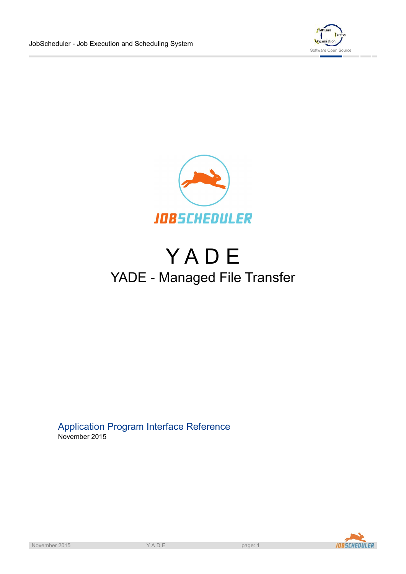



# **YADE** YADE - Managed File Transfer

## Application Program Interface Reference November 2015

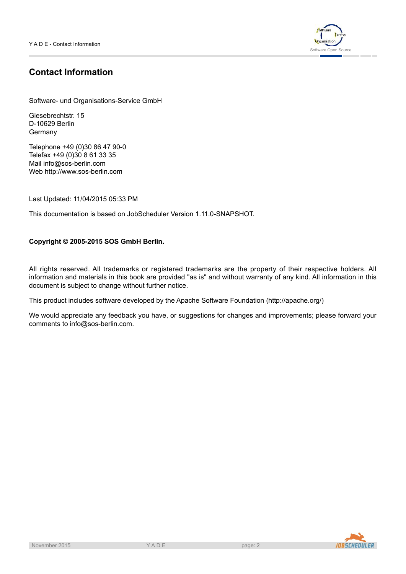

## **Contact Information**

Software- und Organisations-Service GmbH

Giesebrechtstr. 15 D-10629 Berlin Germany

Telephone +49 (0)30 86 47 90-0 Telefax +49 (0)30 8 61 33 35 Mail info@sos-berlin.com Web<http://www.sos-berlin.com>

Last Updated: 11/04/2015 05:33 PM

This documentation is based on JobScheduler Version 1.11.0-SNAPSHOT.

### **Copyright © 2005-2015 SOS GmbH Berlin.**

All rights reserved. All trademarks or registered trademarks are the property of their respective holders. All information and materials in this book are provided "as is" and without warranty of any kind. All information in this document is subject to change without further notice.

This product includes software developed by the Apache Software Foundation (http://apache.org/)

We would appreciate any feedback you have, or suggestions for changes and improvements; please forward your comments to info@sos-berlin.com.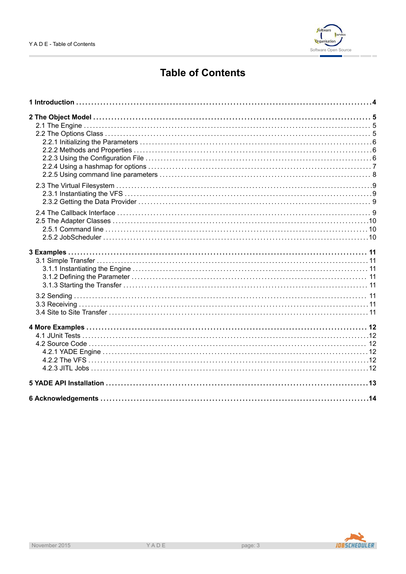

## **Table of Contents**

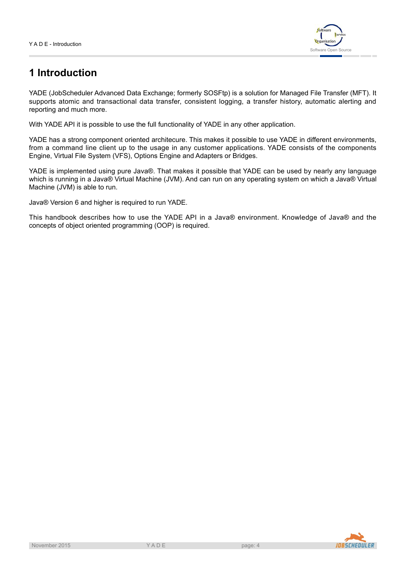

## **1 Introduction**

YADE (JobScheduler Advanced Data Exchange; formerly SOSFtp) is a solution for Managed File Transfer (MFT). It supports atomic and transactional data transfer, consistent logging, a transfer history, automatic alerting and reporting and much more.

With YADE API it is possible to use the full functionality of YADE in any other application.

YADE has a strong component oriented architecure. This makes it possible to use YADE in different environments, from a command line client up to the usage in any customer applications. YADE consists of the components Engine, Virtual File System (VFS), Options Engine and Adapters or Bridges.

YADE is implemented using pure Java®. That makes it possible that YADE can be used by nearly any language which is running in a Java® Virtual Machine (JVM). And can run on any operating system on which a Java® Virtual Machine (JVM) is able to run.

Java® Version 6 and higher is required to run YADE.

This handbook describes how to use the YADE API in a Java® environment. Knowledge of Java® and the concepts of object oriented programming (OOP) is required.

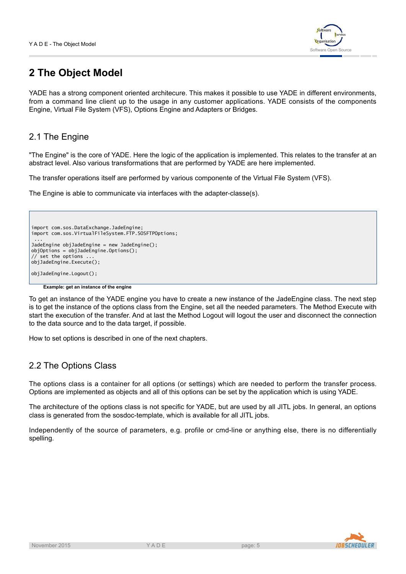

## **2 The Object Model**

YADE has a strong component oriented architecure. This makes it possible to use YADE in different environments, from a command line client up to the usage in any customer applications. YADE consists of the components Engine, Virtual File System (VFS), Options Engine and Adapters or Bridges.

## 2.1 The Engine

"The Engine" is the core of YADE. Here the logic of the application is implemented. This relates to the transfer at an abstract level. Also various transformations that are performed by YADE are here implemented.

The transfer operations itself are performed by various componente of the Virtual File System (VFS).

The Engine is able to communicate via interfaces with the adapter-classe(s).

```
import com.sos.DataExchange.JadeEngine;
import com.sos.VirtualFileSystem.FTP.SOSFTPOptions;
 ...
JadeEngine objJadeEngine = new JadeEngine();
objOptions = objJadeEngine.Options();
  \overline{\phantom{a}} set the options .
objJadeEngine.Execute();
objJadeEngine.Logout();
```
**Example: get an instance of the engine**

To get an instance of the YADE engine you have to create a new instance of the JadeEngine class. The next step is to get the instance of the options class from the Engine, set all the needed parameters. The Method Execute with start the execution of the transfer. And at last the Method Logout will logout the user and disconnect the connection to the data source and to the data target, if possible.

How to set options is described in one of the next chapters.

## 2.2 The Options Class

The options class is a container for all options (or settings) which are needed to perform the transfer process. Options are implemented as objects and all of this options can be set by the application which is using YADE.

The architecture of the options class is not specific for YADE, but are used by all JITL jobs. In general, an options class is generated from the sosdoc-template, which is available for all JITL jobs.

Independently of the source of parameters, e.g. profile or cmd-line or anything else, there is no differentially spelling.



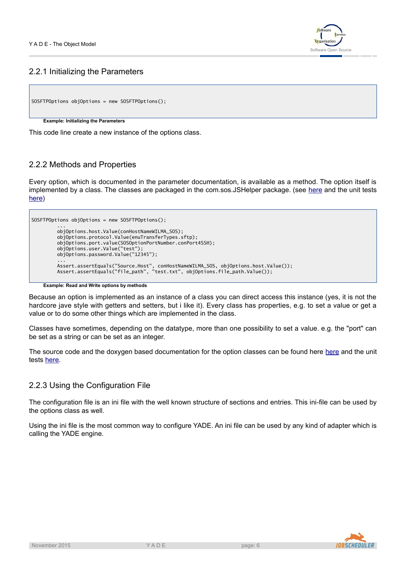

## 2.2.1 Initializing the Parameters

```
SOSFTPOptions objOptions = new SOSFTPOptions();
```
#### **Example: Initializing the Parameters**

This code line create a new instance of the options class.

## 2.2.2 Methods and Properties

Every option, which is documented in the parameter documentation, is available as a method. The option itself is implemented by a class. The classes are packaged in the com.sos.JSHelper package. (see [here](http://www.sos-berlin.com/doc/doxygen-docs/JSHelper/html/index.html) and the unit tests [here\)](http://www.sos-berlin.com/doc/doxygen-docs/JSHelper.junit/html/index.html)

```
SOSFTPOptions objOptions = new SOSFTPOptions();
         ...
         objOptions.host.Value(conHostNameWILMA_SOS);
         objOptions.protocol.Value(enuTransferTypes.sftp);
         objOptions.port.value(SOSOptionPortNumber.conPort4SSH);
         objOptions.user.Value("test");
         objOptions.password.Value("12345");
         ...
         Assert.assertEquals("Source.Host", conHostNameWILMA_SOS, objOptions.host.Value());
         Assert.assertEquals("file_path", "test.txt", objOptions.file_path.Value());
```
**Example: Read and Write options by methods**

Because an option is implemented as an instance of a class you can direct access this instance (yes, it is not the hardcore jave style with getters and setters, but i like it). Every class has properties, e.g. to set a value or get a value or to do some other things which are implemented in the class.

Classes have sometimes, depending on the datatype, more than one possibility to set a value. e.g. the "port" can be set as a string or can be set as an integer.

The source code and the doxygen based documentation for the option classes can be found [here](http://www.sos-berlin.com/doc/doxygen-docs/JSHelper/html/index.html) here and the unit tests [here](http://www.sos-berlin.com/doc/doxygen-docs/JSHelper.junit/html/index.html).

### 2.2.3 Using the Configuration File

The configuration file is an ini file with the well known structure of sections and entries. This ini-file can be used by the options class as well.

Using the ini file is the most common way to configure YADE. An ini file can be used by any kind of adapter which is calling the YADE engine.



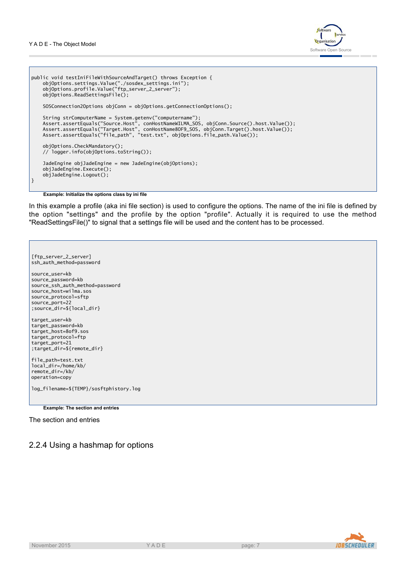

```
public void testIniFileWithSourceAndTarget() throws Exception {
    objOptions.settings.Value("./sosdex_settings.ini");
    objOptions.profile.Value("ftp_server_2_server");
    objOptions.ReadSettingsFile();
    SOSConnection2Options objConn = objOptions.getConnectionOptions();
    String strComputerName = System.getenv("computername");
    Assert.assertEquals("Source.Host", conHostNameWILMA_SOS, objConn.Source().host.Value());
    Assert.assertEquals("Target.Host", conHostName8OF9_SOS, objConn.Target().host.Value());
    Assert.assertEquals("file_path", "test.txt", objOptions.file_path.Value());
    objOptions.CheckMandatory();
    // logger.info(objOptions.toString());
   JadeEngine objJadeEngine = new JadeEngine(objOptions);
    objJadeEngine.Execute();
    objJadeEngine.Logout();
}
```
**Example: Initialize the options class by ini file**

In this example a profile (aka ini file section) is used to configure the options. The name of the ini file is defined by the option "settings" and the profile by the option "profile". Actually it is required to use the method "ReadSettingsFile()" to signal that a settings file will be used and the content has to be processed.

```
[ftp_server_2_server]
ssh_auth_method=password
source_user=kb
source_password=kb
source_ssh_auth_method=password
source_host=wilma.sos
source_protocol=sftp
source_port=22
;source_dir=${local_dir}
target user=kb
target_password=kb
target host=8of9.sos
target_protocol=ftp
target_port=21
;target_dir=${remote_dir}
file_path=test.txt
local_dir=/home/kb/
remote_dir=/kb/
operation=copy
log_filename=${TEMP}/sosftphistory.log
```
**Example: The section and entries**

The section and entries

## 2.2.4 Using a hashmap for options

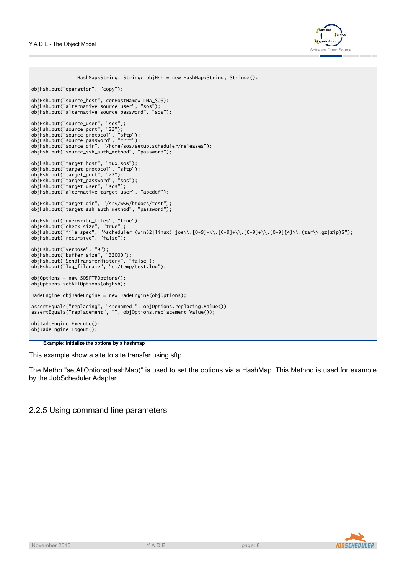

```
HashMap<String, String> objHsh = new HashMap<String, String>();
objHsh.put("operation", "copy");
objHsh.put("source_host", conHostNameWILMA_SOS);
objHsh.put("alternative_source_user", "sos");
objHsh.put("alternative_source_password", "sos");
objHsh.put("source_user", "sos");
objHsh.put("source_port", "22");
objHsh.put("source_protocol", "sftp");
objHsh.put("source_password", "****");
objHsh.put("source_dir", "/home/sos/setup.scheduler/releases");
objHsh.put("source_ssh_auth_method", "password");
objHsh.put("target_host", "tux.sos");
objHsh.put("target_protocol", "sftp");
objHsh.put("target_port", "22");
objHsh.put("target_password", "sos");
objHsh.put("target_user", "sos");
objHsh.put("alternative_target_user", "abcdef");
objHsh.put("target_dir", "/srv/www/htdocs/test");
objHsh.put("target_ssh_auth_method", "password");
objHsh.put("overwrite_files", "true");
objHsh.put("check_size", "true");
objHsh.put("file_spec", "^scheduler_(win32|linux)_joe\\.[0-9]+\\.[0-9]+\\.[0-9]+\\.[0-9]{4}\\.(tar\\.gz|zip)$");
objHsh.put("recursive", "false");
objHsh.put("verbose", "9");
objHsh.put("buffer_size", "32000");
objHsh.put("SendTransferHistory", "false");
objHsh.put("log_filename", "c:/temp/test.log");
objOptions = new SOSFTPOptions();
objOptions.setAllOptions(objHsh);
JadeEngine objJadeEngine = new JadeEngine(objOptions);
assertEquals("replacing", "^renamed_", objOptions.replacing.Value());
assertEquals("replacement", "", objOptions.replacement.Value());
objJadeEngine.Execute();
objJadeEngine.Logout();
```
#### **Example: Initialize the options by a hashmap**

This example show a site to site transfer using sftp.

The Metho "setAllOptions(hashMap)" is used to set the options via a HashMap. This Method is used for example by the JobScheduler Adapter.

### 2.2.5 Using command line parameters



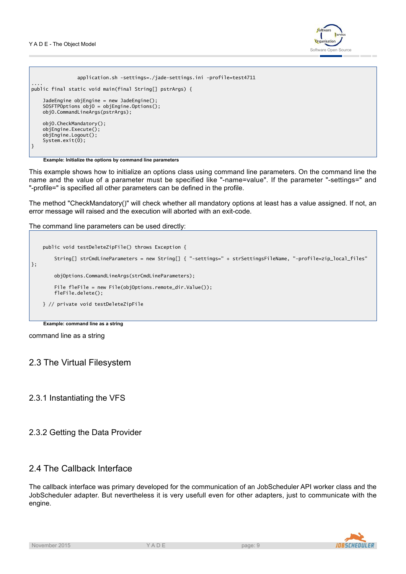

```
application.sh -settings=./jade-settings.ini -profile=test4711
....
public final static void main(final String[] pstrArgs) {
    JadeEngine objEngine = new JadeEngine();
    SOSFTPOptions objO = objEngine.Options();
    objO.CommandLineArgs(pstrArgs);
    objO.CheckMandatory();
    objEngine.Execute();
    objEngine.Logout();
    System.exit(0);
}
```
#### **Example: Initialize the options by command line parameters**

This example shows how to initialize an options class using command line parameters. On the command line the name and the value of a parameter must be specified like "-name=value". If the parameter "-settings=" and "-profile=" is specified all other parameters can be defined in the profile.

The method "CheckMandatory()" will check whether all mandatory options at least has a value assigned. If not, an error message will raised and the execution will aborted with an exit-code.

The command line parameters can be used directly:

```
public void testDeleteZipFile() throws Exception {
        String[] strCmdLineParameters = new String[] { "-settings=" + strSettingsFileName, "-profile=zip_local_files"
};
       objOptions.CommandLineArgs(strCmdLineParameters);
        File fleFile = new File(objOptions.remote_dir.Value());
        fleFile.delete();
   } // private void testDeleteZipFile
```
**Example: command line as a string**

command line as a string

### 2.3 The Virtual Filesystem

### 2.3.1 Instantiating the VFS

### 2.3.2 Getting the Data Provider

### 2.4 The Callback Interface

The callback interface was primary developed for the communication of an JobScheduler API worker class and the JobScheduler adapter. But nevertheless it is very usefull even for other adapters, just to communicate with the engine.

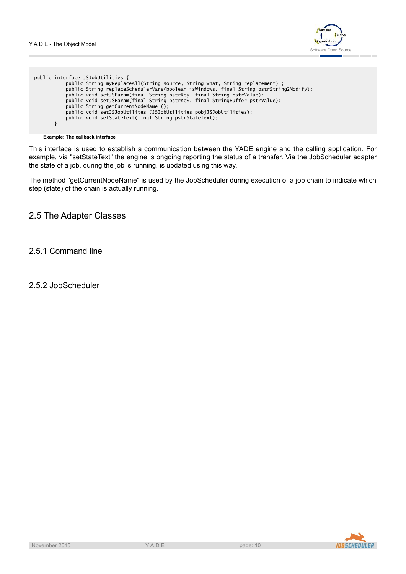

| public interface JSJobUtilities {                                                      |  |
|----------------------------------------------------------------------------------------|--|
|                                                                                        |  |
| public String myReplaceAll(String source, String what, String replacement) ;           |  |
| public String replaceSchedulerVars(boolean isWindows, final String pstrString2Modify); |  |
| public void setJSParam(final String pstrKey, final String pstrValue);                  |  |
| public void setJSParam(final String pstrKey, final StringBuffer pstrValue);            |  |
| public String getCurrentNodeName ();                                                   |  |
| public void setJSJobUtilites (JSJobUtilities pobiJSJobUtilities);                      |  |
| public void setStateText(final String pstrStateText);                                  |  |
|                                                                                        |  |
|                                                                                        |  |

**Example: The callback interface**

This interface is used to establish a communication between the YADE engine and the calling application. For example, via "setStateText" the engine is ongoing reporting the status of a transfer. Via the JobScheduler adapter the state of a job, during the job is running, is updated using this way.

The method "getCurrentNodeName" is used by the JobScheduler during execution of a job chain to indicate which step (state) of the chain is actually running.

## 2.5 The Adapter Classes

## 2.5.1 Command line

2.5.2 JobScheduler

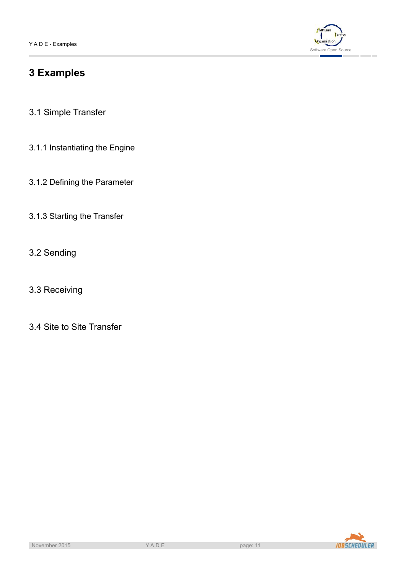

## **3 Examples**

- 3.1 Simple Transfer
- 3.1.1 Instantiating the Engine
- 3.1.2 Defining the Parameter
- 3.1.3 Starting the Transfer
- 3.2 Sending
- <span id="page-10-0"></span>3.3 Receiving
- 3.4 Site to Site Transfer

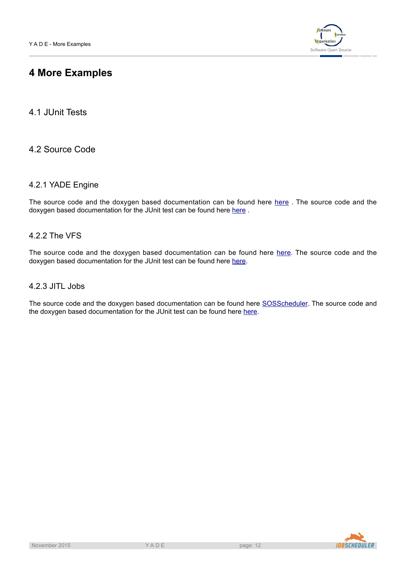

## **4 More Examples**

4.1 JUnit Tests

4.2 Source Code

## 4.2.1 YADE Engine

The source code and the doxygen based documentation can be found [here](http://www.sos-berlin.com/doc/doxygen-docs/SOSDataExchange/html/index.html) here. The source code and the doxygen based documentation for the JUnit test can be found [here](http://www.sos-berlin.com/doc/doxygen-docs/SOSDataExchange.junit/html/index.html) here.

## 4.2.2 The VFS

The source code and the doxygen based documentation can be found here [here.](http://www.sos-berlin.com/doc/doxygen-docs/SOSVirtualFileSystem/html/index.html) The source code and the doxygen based documentation for the JUnit test can be found [here](http://www.sos-berlin.com/doc/doxygen-docs/SOSVirtualFileSystem.junit/html/index.html) here.

## 4.2.3 JITL Jobs

The source code and the doxygen based documentation can be found here [SOSScheduler](http://www.sos-berlin.com/doc/doxygen-docs/SOSScheduler/html/index.html). The source code and the doxygen based documentation for the JUnit test can be found [here](http://www.sos-berlin.com/doc/doxygen-docs/SOSScheduler.junit/html/index.html) here.

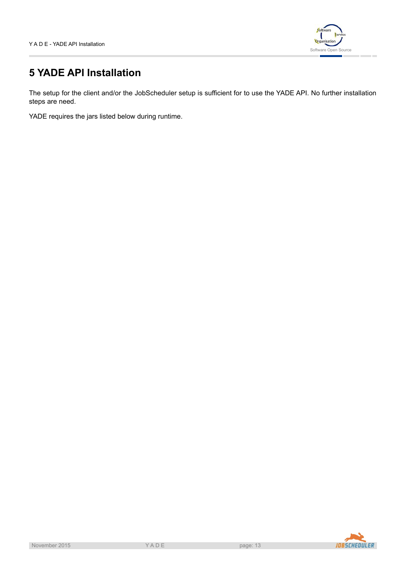

## **5 YADE API Installation**

The setup for the client and/or the JobScheduler setup is sufficient for to use the YADE API. No further installation steps are need.

YADE requires the jars listed below during runtime.